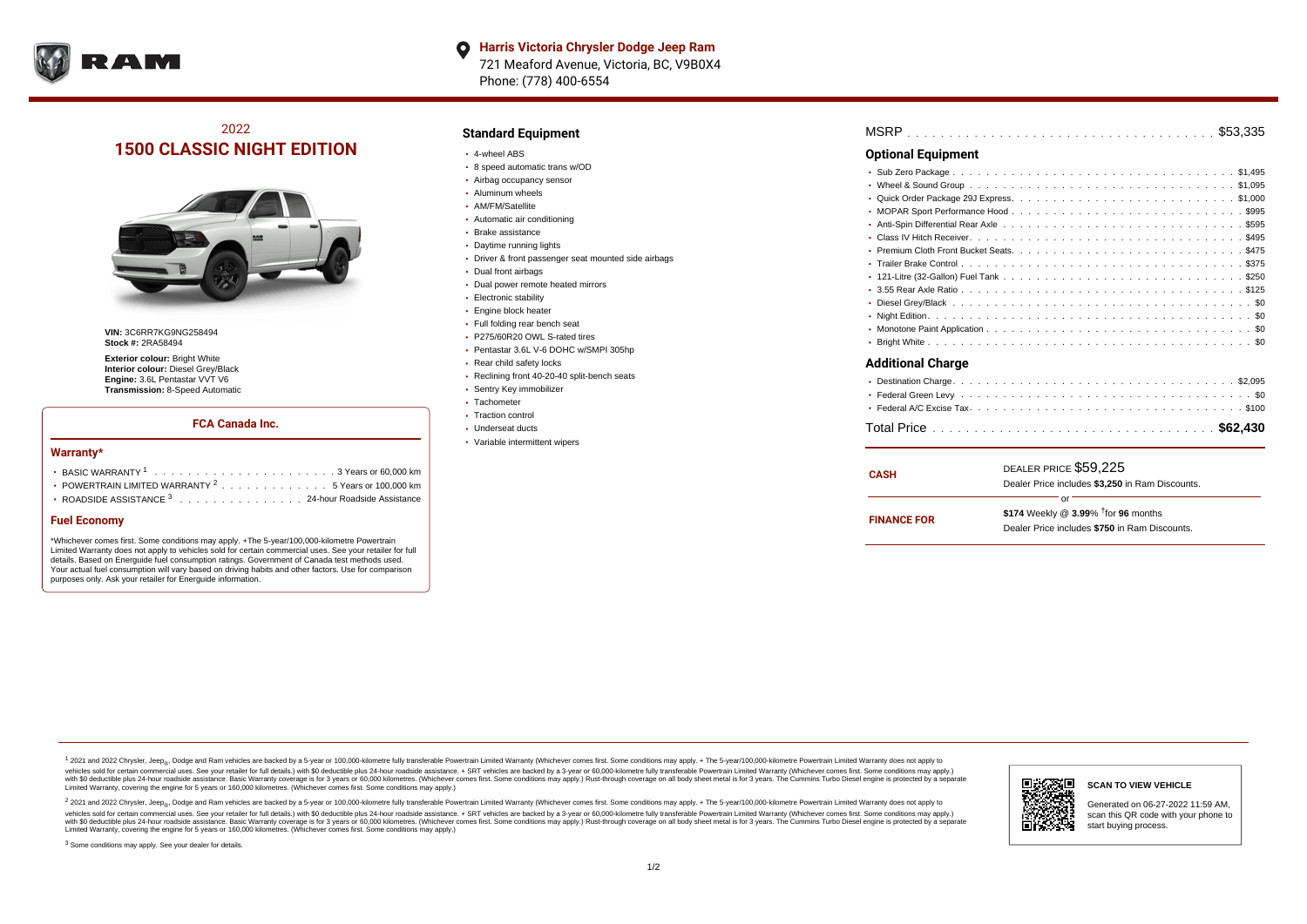

# 2022 **1500 CLASSIC NIGHT EDITION**



**VIN:** 3C6RR7KG9NG258494 **Stock #:** 2RA58494

**Exterior colour: Bright White Interior colour:** Diesel Grey/Black **Engine:** 3.6L Pentastar VVT V6 **Transmission:** 8-Speed Automatic

### **FCA Canada Inc.**

#### **Warranty\***

| • POWERTRAIN LIMITED WARRANTY $2, \ldots, \ldots, \ldots, \ldots, 5$ Years or 100,000 km |
|------------------------------------------------------------------------------------------|
| ROADSIDE ASSISTANCE 3 24-hour Roadside Assistance                                        |

#### **Fuel Economy**

\*Whichever comes first. Some conditions may apply. +The 5-year/100,000-kilometre Powertrain Limited Warranty does not apply to vehicles sold for certain commercial uses. See your retailer for full details. Based on Energuide fuel consumption ratings. Government of Canada test methods used. Your actual fuel consumption will vary based on driving habits and other factors. Use for comparison purposes only. Ask your retailer for Energuide information.

## **Standard Equipment**

- 4-wheel ABS
- 8 speed automatic trans w/OD
- Airbag occupancy sensor
- Aluminum wheels
- AM/FM/Satellite
- Automatic air conditioning
- Brake assistance
- Daytime running lights
- Driver & front passenger seat mounted side airbags
- Dual front airbags
- Dual power remote heated mirrors
- Electronic stability
- Engine block heater
- Full folding rear bench seat
- P275/60R20 OWL S-rated tires
- Pentastar 3.6L V-6 DOHC w/SMPI 305hp
- Rear child safety locks
- Reclining front 40-20-40 split-bench seats
- Sentry Key immobilizer
- Tachometer
- Traction control Underseat ducts
- 
- Variable intermittent wipers

| MSRP |  |  |  |  |  |  |  |  |  |  |  |  |  |  |  |  |  |  |  |  |  |  |  |  |  |  |  |  |  |  |  |  |  |  |  |  |  |  |
|------|--|--|--|--|--|--|--|--|--|--|--|--|--|--|--|--|--|--|--|--|--|--|--|--|--|--|--|--|--|--|--|--|--|--|--|--|--|--|
|------|--|--|--|--|--|--|--|--|--|--|--|--|--|--|--|--|--|--|--|--|--|--|--|--|--|--|--|--|--|--|--|--|--|--|--|--|--|--|

# **Optional Equipment**

| <b>Additional Charge</b> |
|--------------------------|
|                          |
|                          |
|                          |
|                          |

| <b>CASH</b>        | DEALER PRICE \$59,225<br>Dealer Price includes \$3.250 in Ram Discounts.                                  |  |  |  |  |  |  |  |
|--------------------|-----------------------------------------------------------------------------------------------------------|--|--|--|--|--|--|--|
| <b>FINANCE FOR</b> | ОГ<br>\$174 Weekly @ $3.99\%$ <sup>†</sup> for 96 months<br>Dealer Price includes \$750 in Ram Discounts. |  |  |  |  |  |  |  |

<sup>1</sup> 2021 and 2022 Chrysler, Jeep<sub>®</sub>, Dodge and Ram vehicles are backed by a 5-year or 100,000-kilometre fully transferable Powertrain Limited Warranty (Whichever comes first. Some conditions may apply. + The 5-year/100,000 vehicles sold for certain commercial uses. See your retailer for full details.) with \$0 deductible plus 24-hour roadside assistance. + SRT vehicles are backed by a 3-year or 60,000-kilometre fully transferable Powertrain L versus and contract the mean of the contract of the contract with a contract with a contract the contract of the contract of the contract the contract of the contract of the contract of the contract of the contract of the Limited Warranty, covering the engine for 5 years or 160,000 kilometres. (Whichever comes first. Some conditions may apply.)

2 2021 and 2022 Chrysler, Jeep<sub>®</sub>, Dodge and Ram vehicles are backed by a 5-year or 100,000-kilometre fully transferable Powertrain Limited Warranty (Whichever comes first. Some conditions may apply. + The 5-year/100,000-k vehicles sold for certain commercial uses. See your retailer for full details.) with SO deductible plus 24-hour roadside assistance. + SRT vehicles are backed by a 3-year or 60.000-kilometre fully transferable Powertrain. with S0 deductible plus 24-hour roadside assistance. Basic Warranty coverage is for 3 years or 60,000 kilometres. (Whichever comes first. Some conditions may apply.) Rust-through coverage on all body sheet metal is for 3 y

<sup>3</sup> Some conditions may apply. See your dealer for details.



Generated on 06-27-2022 11:59 AM, scan this QR code with your phone to start buying process.